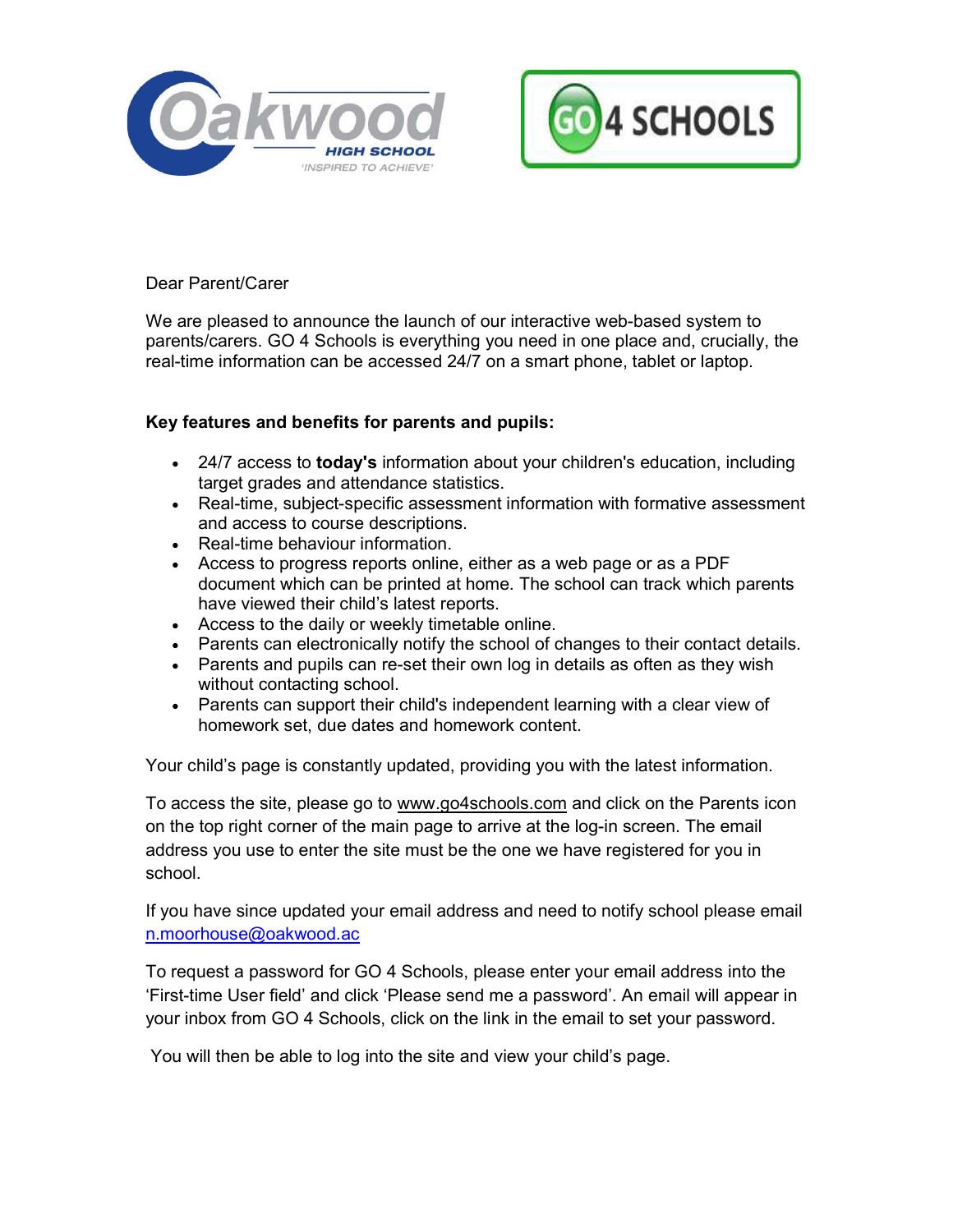



# Dear Parent/Carer

We are pleased to announce the launch of our interactive web-based system to parents/carers. GO 4 Schools is everything you need in one place and, crucially, the real-time information can be accessed 24/7 on a smart phone, tablet or laptop.

## Key features and benefits for parents and pupils:

- 24/7 access to **today's** information about your children's education, including target grades and attendance statistics.
- Real-time, subject-specific assessment information with formative assessment and access to course descriptions.
- Real-time behaviour information.
- Access to progress reports online, either as a web page or as a PDF document which can be printed at home. The school can track which parents have viewed their child's latest reports.
- Access to the daily or weekly timetable online.
- Parents can electronically notify the school of changes to their contact details.
- Parents and pupils can re-set their own log in details as often as they wish without contacting school.
- Parents can support their child's independent learning with a clear view of homework set, due dates and homework content.

Your child's page is constantly updated, providing you with the latest information.

To access the site, please go to www.go4schools.com and click on the Parents icon on the top right corner of the main page to arrive at the log-in screen. The email address you use to enter the site must be the one we have registered for you in school.

If you have since updated your email address and need to notify school please email n.moorhouse@oakwood.ac

To request a password for GO 4 Schools, please enter your email address into the 'First-time User field' and click 'Please send me a password'. An email will appear in your inbox from GO 4 Schools, click on the link in the email to set your password.

You will then be able to log into the site and view your child's page.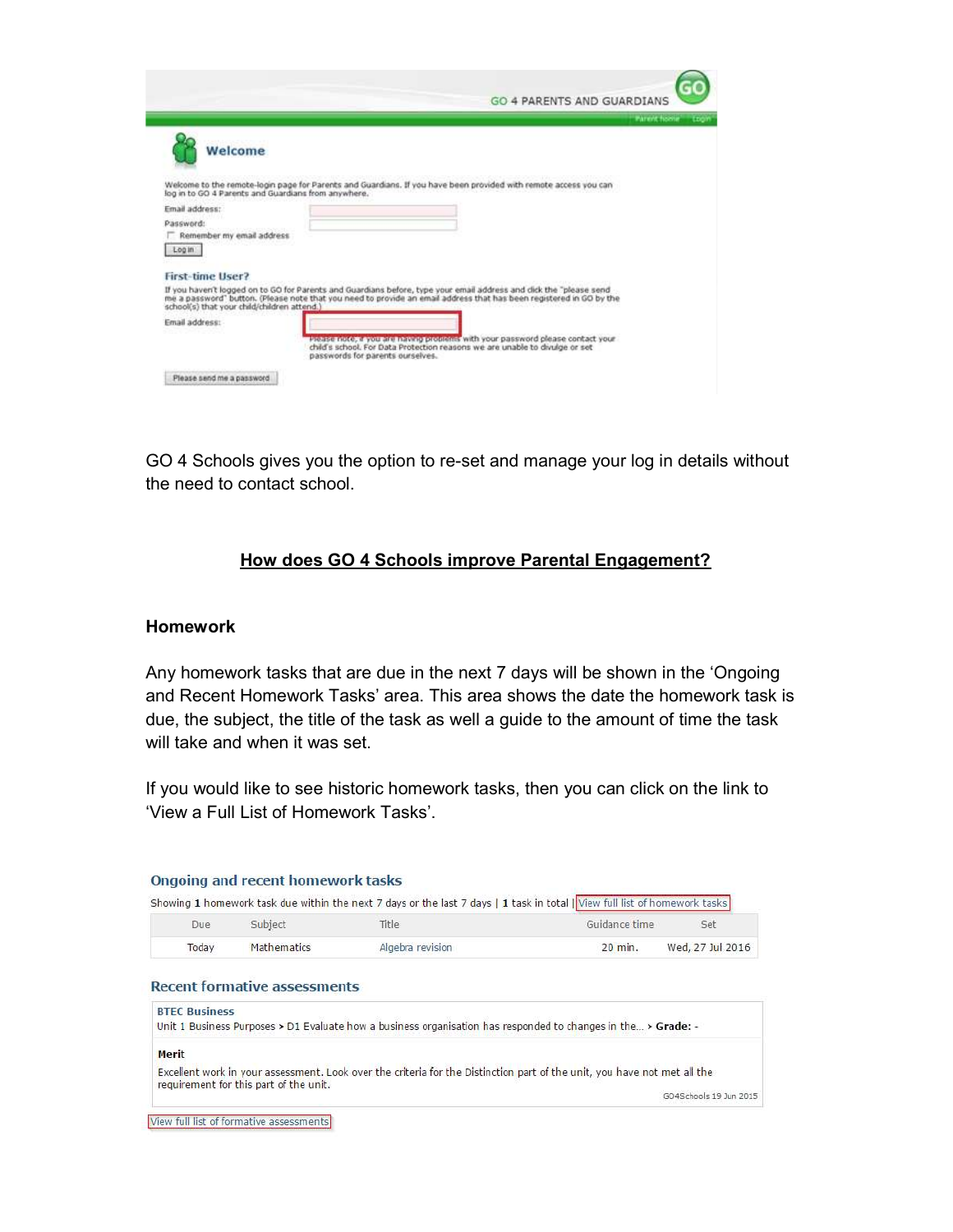|                                                     | <b>GO 4 PARENTS AND GUARDIANS</b>                                                                                                                                                                                                         |
|-----------------------------------------------------|-------------------------------------------------------------------------------------------------------------------------------------------------------------------------------------------------------------------------------------------|
|                                                     | Parent home<br>TIOM                                                                                                                                                                                                                       |
| Welcome                                             |                                                                                                                                                                                                                                           |
| log in to GO 4 Parents and Guardians from anywhere. | Welcome to the remote-login page for Parents and Guardians. If you have been provided with remote access you can                                                                                                                          |
| Email address:                                      |                                                                                                                                                                                                                                           |
| Password:                                           |                                                                                                                                                                                                                                           |
| Remember my email address                           |                                                                                                                                                                                                                                           |
| Login                                               |                                                                                                                                                                                                                                           |
|                                                     |                                                                                                                                                                                                                                           |
| First-time User?                                    |                                                                                                                                                                                                                                           |
| school(s) that your child/children attend.)         | If you haven't logged on to GO for Parents and Guardians before, type your email address and dick the "please send<br>me a password" button. (Please note that you need to provide an email address that has been registered in GO by the |
| Email address:                                      |                                                                                                                                                                                                                                           |
|                                                     | Prease note, a you are having problems with your password please contact your<br>child's school. For Data Protection reasons we are unable to divulge or set<br>passwords for parents ourselves.                                          |
| Please send me a password                           |                                                                                                                                                                                                                                           |

GO 4 Schools gives you the option to re-set and manage your log in details without the need to contact school.

# How does GO 4 Schools improve Parental Engagement?

### Homework

Ē

Any homework tasks that are due in the next 7 days will be shown in the 'Ongoing and Recent Homework Tasks' area. This area shows the date the homework task is due, the subject, the title of the task as well a guide to the amount of time the task will take and when it was set.

If you would like to see historic homework tasks, then you can click on the link to 'View a Full List of Homework Tasks'.

|                      | Subject            | Title                                                                                                         | Guidance time | Set              |
|----------------------|--------------------|---------------------------------------------------------------------------------------------------------------|---------------|------------------|
| Today                | <b>Mathematics</b> | Algebra revision                                                                                              | 20 min.       | Wed, 27 Jul 2016 |
|                      |                    |                                                                                                               |               |                  |
| <b>BTFC Business</b> |                    | Unit 1 Business Purposes > D1 Evaluate how a business organisation has responded to changes in the > Grade: - |               |                  |

View full list of formative assessments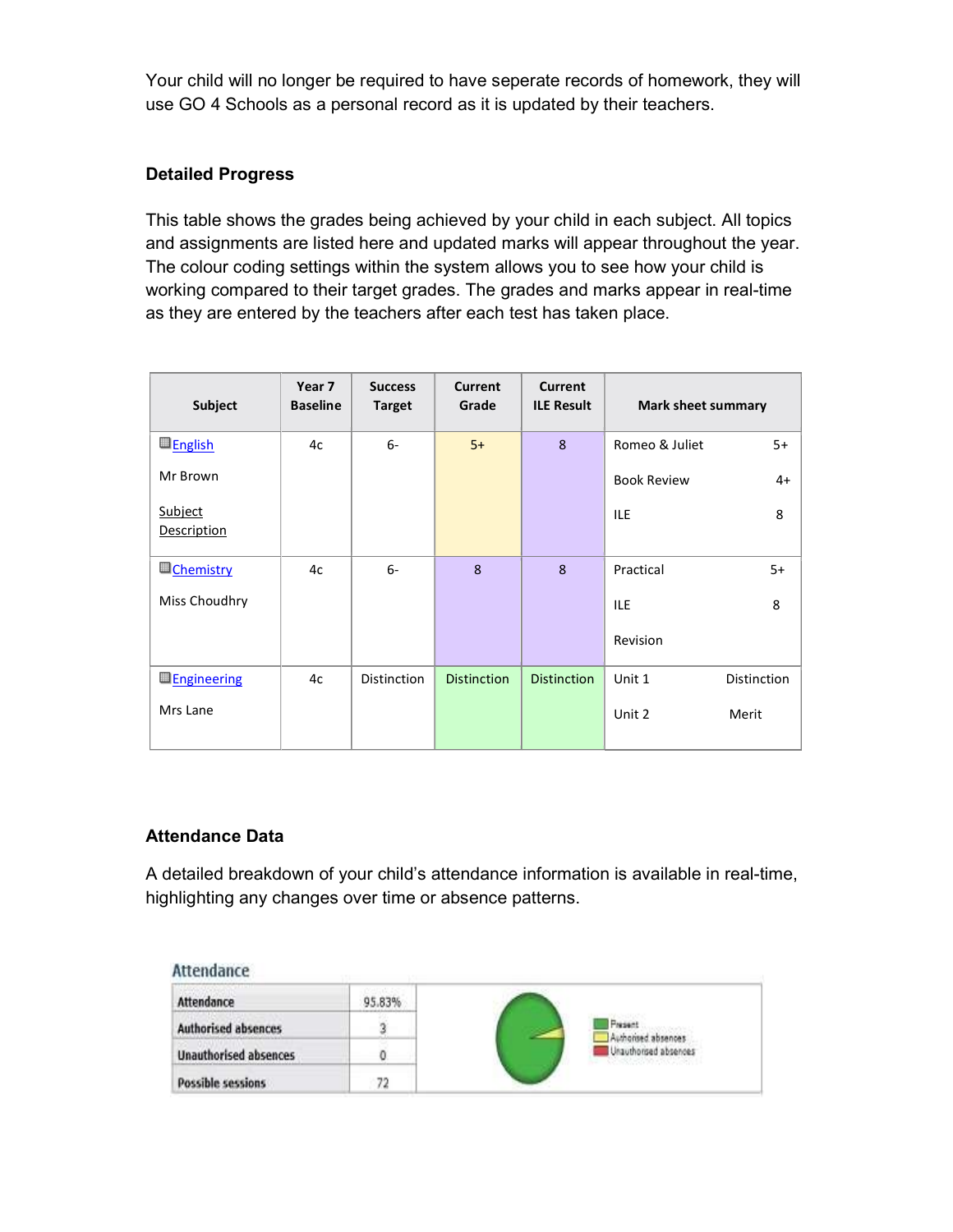Your child will no longer be required to have seperate records of homework, they will use GO 4 Schools as a personal record as it is updated by their teachers.

## Detailed Progress

This table shows the grades being achieved by your child in each subject. All topics and assignments are listed here and updated marks will appear throughout the year. The colour coding settings within the system allows you to see how your child is working compared to their target grades. The grades and marks appear in real-time as they are entered by the teachers after each test has taken place.

| Subject                       | Year 7<br><b>Baseline</b> | <b>Success</b><br><b>Target</b> | <b>Current</b><br>Grade | <b>Current</b><br><b>ILE Result</b> | <b>Mark sheet summary</b> |             |
|-------------------------------|---------------------------|---------------------------------|-------------------------|-------------------------------------|---------------------------|-------------|
| <b>English</b>                | 4c                        | $6-$                            | $5+$                    | 8                                   | Romeo & Juliet            | $5+$        |
| Mr Brown                      |                           |                                 |                         |                                     | <b>Book Review</b>        | $4+$        |
| Subject<br><b>Description</b> |                           |                                 |                         |                                     | <b>ILE</b>                | 8           |
| <b>U</b> Chemistry            | 4c                        | $6-$                            | 8                       | 8                                   | Practical                 | $5+$        |
| Miss Choudhry                 |                           |                                 |                         |                                     | <b>ILE</b>                | 8           |
|                               |                           |                                 |                         |                                     | Revision                  |             |
| <b>Engineering</b>            | 4c                        | <b>Distinction</b>              | <b>Distinction</b>      | <b>Distinction</b>                  | Unit 1                    | Distinction |
| Mrs Lane                      |                           |                                 |                         |                                     | Unit 2                    | Merit       |

### Attendance Data

A detailed breakdown of your child's attendance information is available in real-time, highlighting any changes over time or absence patterns.

#### Attendance

| Attendance                   | 95.83% |                                                      |
|------------------------------|--------|------------------------------------------------------|
| Authorised absences          |        | <b>Present</b><br>Authorised absences                |
| <b>Unauthorised absences</b> |        | Unauthorised absences<br>THE STATE OF A TANK AND LOT |
| <b>Possible sessions</b>     | 72     |                                                      |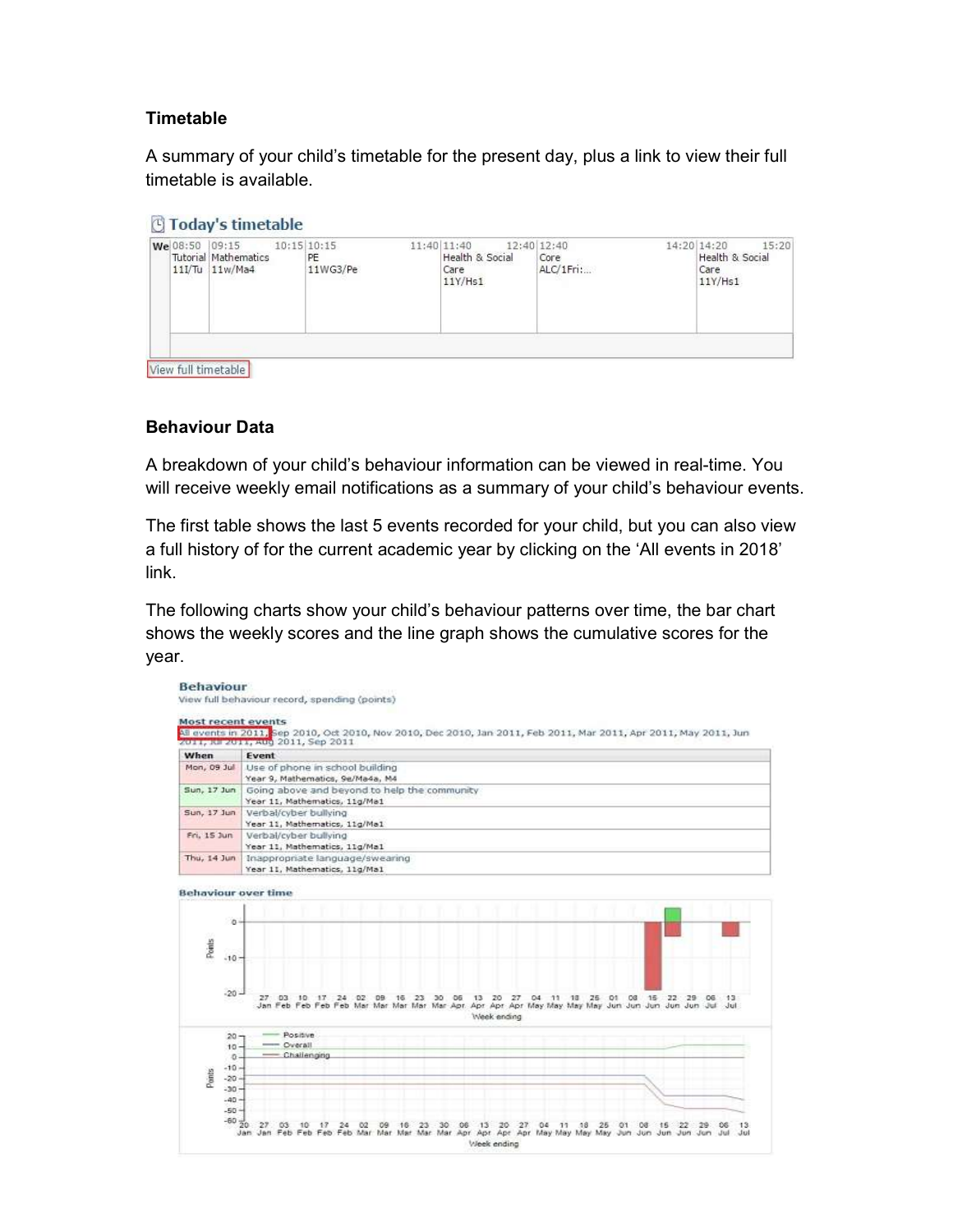# **Timetable**

A summary of your child's timetable for the present day, plus a link to view their full timetable is available.

#### **Today's timetable**

|  | We 08:50 09:15 10:15 10:15<br>Tutorial Mathematics<br>$11$ I/Tu $11w/Ma4$ | PE<br>11WG3/Pe | 11:40 11:40<br>12:40 12:40<br>Health & Social<br>Care<br>$11Y/$ Hs $1$ | Core<br>ALC/1Fri: | 15:20<br>14:20 14:20<br>Health & Social<br>Care<br>$11Y/$ Hs1 |  |  |
|--|---------------------------------------------------------------------------|----------------|------------------------------------------------------------------------|-------------------|---------------------------------------------------------------|--|--|
|  | View full timetable                                                       |                |                                                                        |                   |                                                               |  |  |

View full timetable

### Behaviour Data

A breakdown of your child's behaviour information can be viewed in real-time. You will receive weekly email notifications as a summary of your child's behaviour events.

The first table shows the last 5 events recorded for your child, but you can also view a full history of for the current academic year by clicking on the 'All events in 2018' link.

The following charts show your child's behaviour patterns over time, the bar chart shows the weekly scores and the line graph shows the cumulative scores for the year.

|                              | 2011, R. 2011, Aud 2011, Sep 2011                                                                                                                                                                                                                                             |  |  |  |  |  |  |
|------------------------------|-------------------------------------------------------------------------------------------------------------------------------------------------------------------------------------------------------------------------------------------------------------------------------|--|--|--|--|--|--|
| <b>When</b>                  | Event                                                                                                                                                                                                                                                                         |  |  |  |  |  |  |
| Mon, 09 Jul                  | Use of phone in school building                                                                                                                                                                                                                                               |  |  |  |  |  |  |
|                              | Year 9, Mathematics, 9e/Ma4a, M4                                                                                                                                                                                                                                              |  |  |  |  |  |  |
| Sun, 17 Jun                  | Going above and beyond to help the community                                                                                                                                                                                                                                  |  |  |  |  |  |  |
|                              | Year 11, Mathematics, 11g/Ma1                                                                                                                                                                                                                                                 |  |  |  |  |  |  |
| Sun, 17 Jun                  | Verbal/cyber bullying                                                                                                                                                                                                                                                         |  |  |  |  |  |  |
| Fri. 15 Jun                  | Year 11, Mathematics, 11g/Ma1                                                                                                                                                                                                                                                 |  |  |  |  |  |  |
|                              | Verbal/cyber bullying<br>Year 11, Mathematics, 11g/Ma1                                                                                                                                                                                                                        |  |  |  |  |  |  |
| Thu, 14 Jun                  | Inappropriate language/swearing                                                                                                                                                                                                                                               |  |  |  |  |  |  |
|                              | Year 11, Mathematics, 11g/Ma1                                                                                                                                                                                                                                                 |  |  |  |  |  |  |
| Points<br>$-10 -$<br>$-20 -$ | 13 20 27<br>27<br>$-03$<br>$-10.$<br>$-24$<br>23<br>OS<br>04<br>O1<br>08 15<br>-22<br>02<br>09<br>30<br>77<br>$-18$<br>- 25<br>29<br>OG<br>16<br>$-13.$<br>Jan Feb Feb Feb Feb Mar Mar Mar Mar Mar Apr Apr Apr Apr May May May May Jun Jun Jun Jun Jun Jul Jul<br>Week ending |  |  |  |  |  |  |
| $20 -$                       | <b>Positive</b><br>- Overall                                                                                                                                                                                                                                                  |  |  |  |  |  |  |
| $10 -$<br>$\Omega$ -         | Challenging                                                                                                                                                                                                                                                                   |  |  |  |  |  |  |
| $-10 -$                      |                                                                                                                                                                                                                                                                               |  |  |  |  |  |  |
| Points<br>$-20 -$            |                                                                                                                                                                                                                                                                               |  |  |  |  |  |  |
| $-30 -$                      |                                                                                                                                                                                                                                                                               |  |  |  |  |  |  |
| $-40 -$                      |                                                                                                                                                                                                                                                                               |  |  |  |  |  |  |
|                              | $-504$                                                                                                                                                                                                                                                                        |  |  |  |  |  |  |